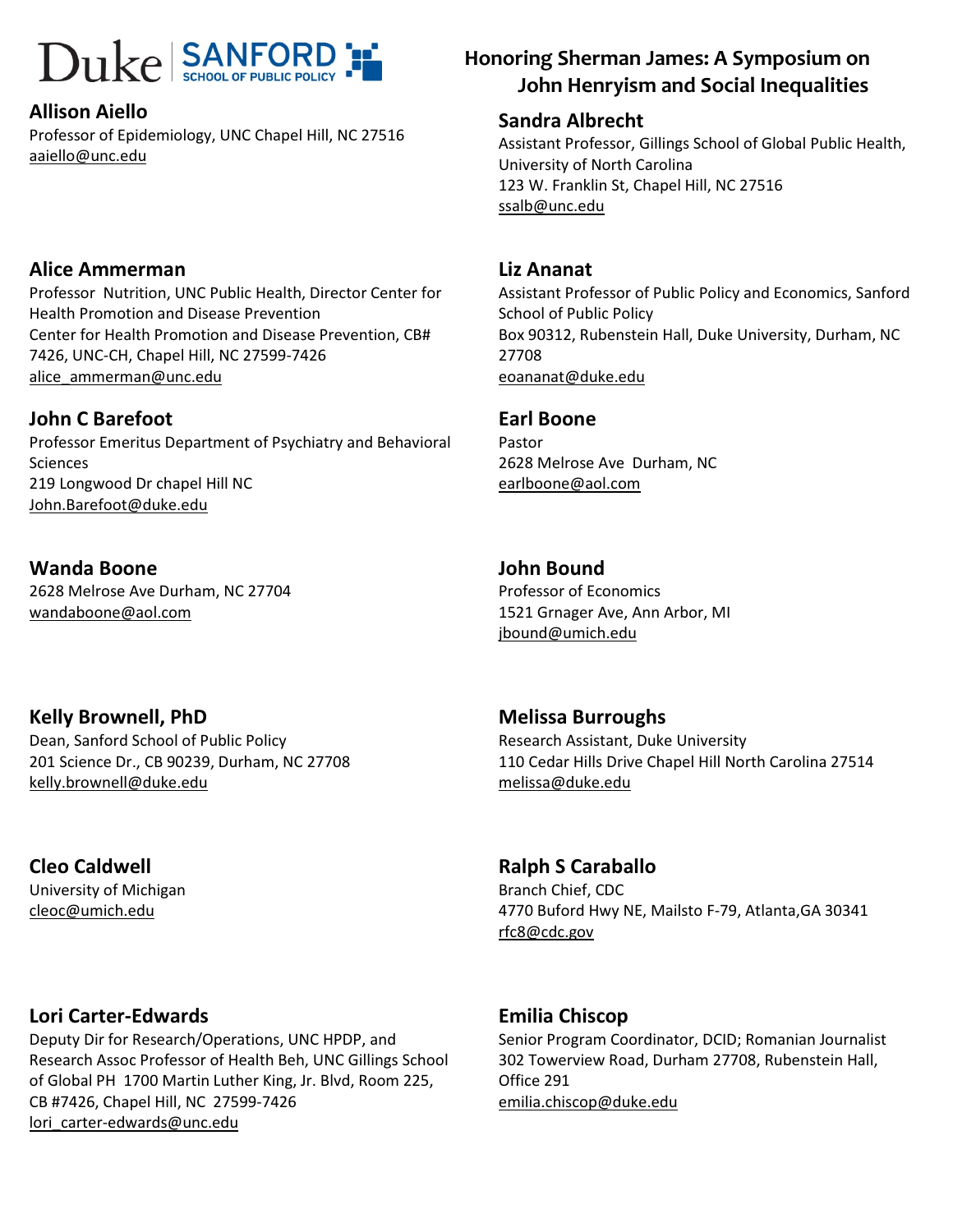#### Allison Aiello

Professor of Epidemiology, UNC Chapel Hill, NC 27516 aaiello@unc.edu

#### Alice Ammerman

Professor Nutrition, UNC Public Health, Director Center for Health Promotion and Disease Prevention Center for Health Promotion and Disease Prevention, CB# 7426, UNC-CH, Chapel Hill, NC 27599-7426 alice\_ammerman@unc.edu

#### John C Barefoot

Professor Emeritus Department of Psychiatry and Behavioral **Sciences** 219 Longwood Dr chapel Hill NC John.Barefoot@duke.edu

Wanda Boone 2628 Melrose Ave Durham, NC 27704 wandaboone@aol.com

#### Kelly Brownell, PhD

Dean, Sanford School of Public Policy 201 Science Dr., CB 90239, Durham, NC 27708 kelly.brownell@duke.edu

Cleo Caldwell University of Michigan cleoc@umich.edu

#### Lori Carter-Edwards

Deputy Dir for Research/Operations, UNC HPDP, and Research Assoc Professor of Health Beh, UNC Gillings School of Global PH 1700 Martin Luther King, Jr. Blvd, Room 225, CB #7426, Chapel Hill, NC 27599-7426 lori carter-edwards@unc.edu

### $\text{Duke}$   $\text{SANFORD}$   $\text{FORD}$   $\text{FORD}$  Honoring Sherman James: A Symposium on John Henryism and Social Inequalities

#### Sandra Albrecht

Assistant Professor, Gillings School of Global Public Health, University of North Carolina 123 W. Franklin St, Chapel Hill, NC 27516 ssalb@unc.edu

#### Liz Ananat

Assistant Professor of Public Policy and Economics, Sanford School of Public Policy Box 90312, Rubenstein Hall, Duke University, Durham, NC 27708 eoananat@duke.edu

#### Earl Boone

Pastor 2628 Melrose Ave Durham, NC earlboone@aol.com

#### John Bound

Professor of Economics 1521 Grnager Ave, Ann Arbor, MI jbound@umich.edu

#### Melissa Burroughs

Research Assistant, Duke University 110 Cedar Hills Drive Chapel Hill North Carolina 27514 melissa@duke.edu

#### Ralph S Caraballo

Branch Chief, CDC 4770 Buford Hwy NE, Mailsto F-79, Atlanta,GA 30341 rfc8@cdc.gov

#### Emilia Chiscop

Senior Program Coordinator, DCID; Romanian Journalist 302 Towerview Road, Durham 27708, Rubenstein Hall, Office 291 emilia.chiscop@duke.edu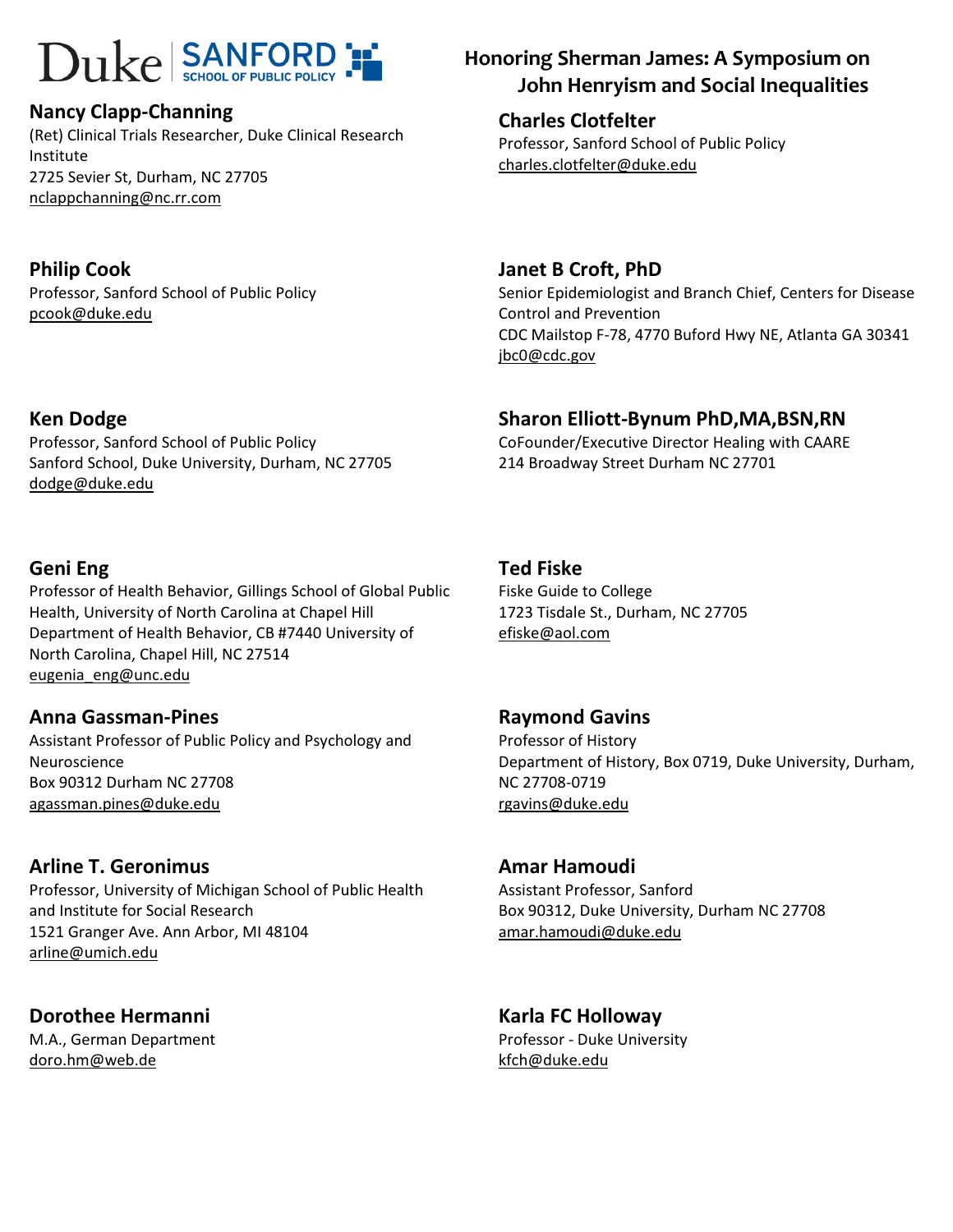#### Nancy Clapp-Channing

(Ret) Clinical Trials Researcher, Duke Clinical Research Institute 2725 Sevier St, Durham, NC 27705 nclappchanning@nc.rr.com

#### Philip Cook

Ken Dodge

dodge@duke.edu

Professor, Sanford School of Public Policy pcook@duke.edu

Professor, Sanford School of Public Policy

Sanford School, Duke University, Durham, NC 27705

## $\text{Duke}$  SANFORD  $\text{F}$  Honoring Sherman James: A Symposium on John Henryism and Social Inequalities

Charles Clotfelter Professor, Sanford School of Public Policy charles.clotfelter@duke.edu

### Janet B Croft, PhD

Senior Epidemiologist and Branch Chief, Centers for Disease Control and Prevention CDC Mailstop F-78, 4770 Buford Hwy NE, Atlanta GA 30341 jbc0@cdc.gov

### Sharon Elliott-Bynum PhD,MA,BSN,RN

CoFounder/Executive Director Healing with CAARE 214 Broadway Street Durham NC 27701

#### Geni Eng

Professor of Health Behavior, Gillings School of Global Public Health, University of North Carolina at Chapel Hill Department of Health Behavior, CB #7440 University of North Carolina, Chapel Hill, NC 27514 eugenia\_eng@unc.edu

#### Anna Gassman-Pines

Assistant Professor of Public Policy and Psychology and Neuroscience Box 90312 Durham NC 27708 agassman.pines@duke.edu

#### Arline T. Geronimus

Professor, University of Michigan School of Public Health and Institute for Social Research 1521 Granger Ave. Ann Arbor, MI 48104 arline@umich.edu

### Dorothee Hermanni

M.A., German Department doro.hm@web.de

### Ted Fiske

Fiske Guide to College 1723 Tisdale St., Durham, NC 27705 efiske@aol.com

#### Raymond Gavins

Professor of History Department of History, Box 0719, Duke University, Durham, NC 27708-0719 rgavins@duke.edu

#### Amar Hamoudi

Assistant Professor, Sanford Box 90312, Duke University, Durham NC 27708 amar.hamoudi@duke.edu

## Karla FC Holloway

Professor - Duke University kfch@duke.edu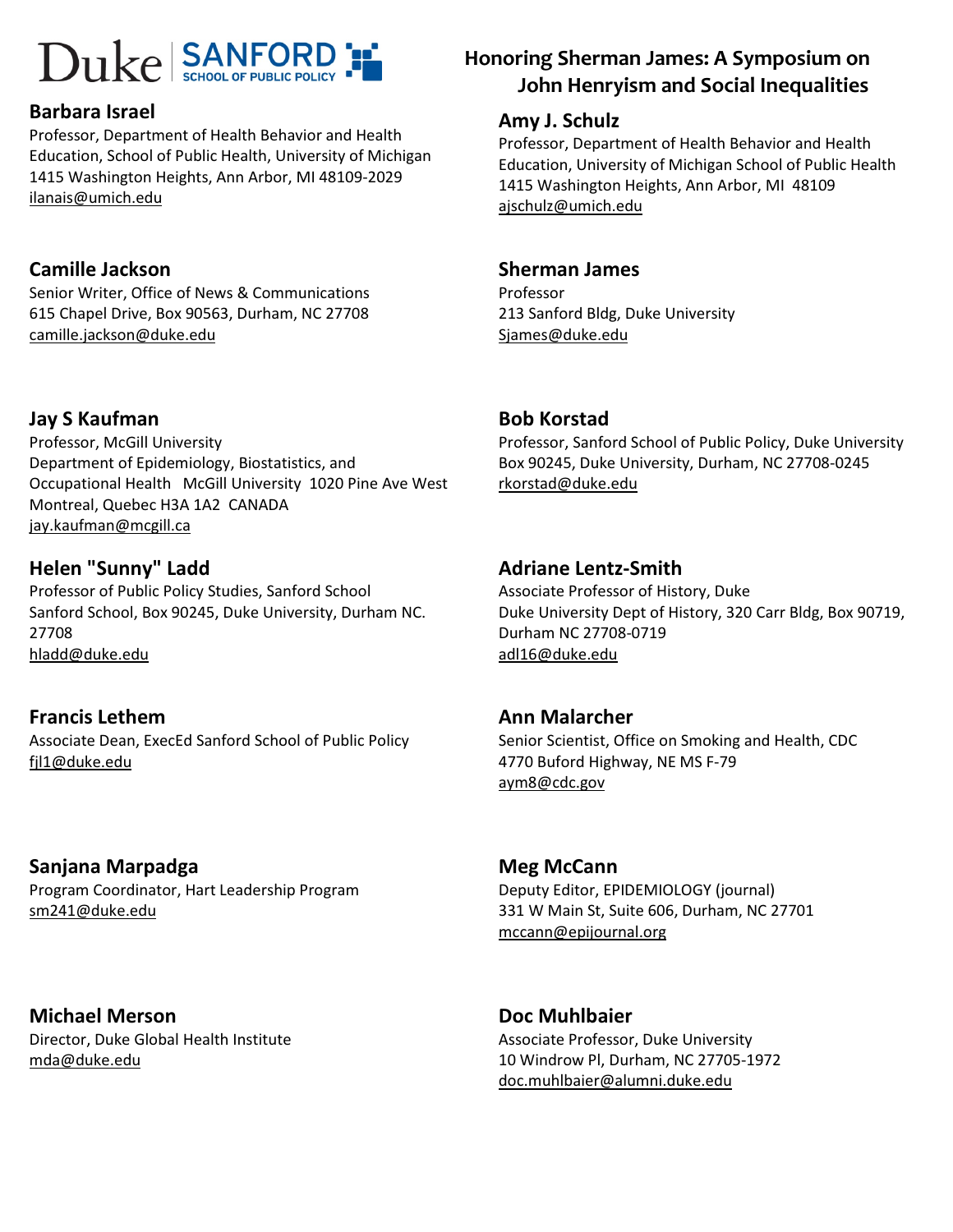#### Barbara Israel

Professor, Department of Health Behavior and Health Education, School of Public Health, University of Michigan 1415 Washington Heights, Ann Arbor, MI 48109-2029 ilanais@umich.edu

#### Camille Jackson

Senior Writer, Office of News & Communications 615 Chapel Drive, Box 90563, Durham, NC 27708 camille.jackson@duke.edu

### Jay S Kaufman

Professor, McGill University Department of Epidemiology, Biostatistics, and Occupational Health McGill University 1020 Pine Ave West Montreal, Quebec H3A 1A2 CANADA jay.kaufman@mcgill.ca

#### Helen "Sunny" Ladd

Professor of Public Policy Studies, Sanford School Sanford School, Box 90245, Duke University, Durham NC. 27708 hladd@duke.edu

#### Francis Lethem

Associate Dean, ExecEd Sanford School of Public Policy fjl1@duke.edu

### Sanjana Marpadga

Program Coordinator, Hart Leadership Program sm241@duke.edu

Michael Merson Director, Duke Global Health Institute mda@duke.edu

## $\text{Duke}$   $\text{SANFORD}$   $\text{FORD}$   $\text{FORD}$  Honoring Sherman James: A Symposium on John Henryism and Social Inequalities

#### Amy J. Schulz

Professor, Department of Health Behavior and Health Education, University of Michigan School of Public Health 1415 Washington Heights, Ann Arbor, MI 48109 ajschulz@umich.edu

#### Sherman James

Professor 213 Sanford Bldg, Duke University Sjames@duke.edu

#### Bob Korstad

Professor, Sanford School of Public Policy, Duke University Box 90245, Duke University, Durham, NC 27708-0245 rkorstad@duke.edu

#### Adriane Lentz-Smith

Associate Professor of History, Duke Duke University Dept of History, 320 Carr Bldg, Box 90719, Durham NC 27708-0719 adl16@duke.edu

#### Ann Malarcher

Senior Scientist, Office on Smoking and Health, CDC 4770 Buford Highway, NE MS F-79 aym8@cdc.gov

#### Meg McCann

Deputy Editor, EPIDEMIOLOGY (journal) 331 W Main St, Suite 606, Durham, NC 27701 mccann@epijournal.org

Doc Muhlbaier Associate Professor, Duke University 10 Windrow Pl, Durham, NC 27705-1972 doc.muhlbaier@alumni.duke.edu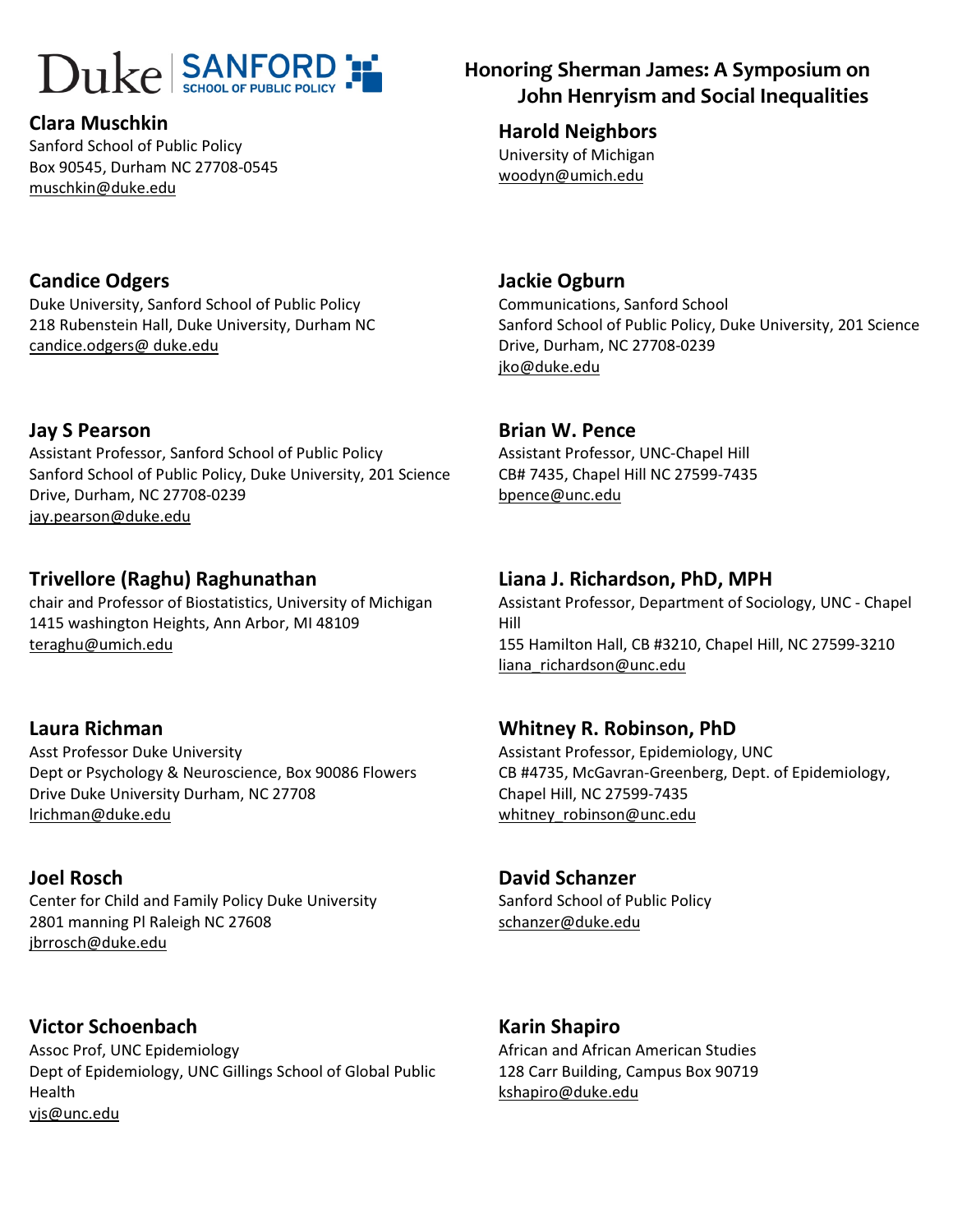# $\text{Dukel SANFORD}$   $\blacksquare$  Honoring Sherman James: A Symposium on

#### Clara Muschkin

Sanford School of Public Policy Box 90545, Durham NC 27708-0545 muschkin@duke.edu

# John Henryism and Social Inequalities

Harold Neighbors University of Michigan woodyn@umich.edu

### Candice Odgers

Duke University, Sanford School of Public Policy 218 Rubenstein Hall, Duke University, Durham NC candice.odgers@ duke.edu

#### Jay S Pearson

Assistant Professor, Sanford School of Public Policy Sanford School of Public Policy, Duke University, 201 Science Drive, Durham, NC 27708-0239 jay.pearson@duke.edu

#### Trivellore (Raghu) Raghunathan

chair and Professor of Biostatistics, University of Michigan 1415 washington Heights, Ann Arbor, MI 48109 teraghu@umich.edu

#### Laura Richman

Asst Professor Duke University Dept or Psychology & Neuroscience, Box 90086 Flowers Drive Duke University Durham, NC 27708 lrichman@duke.edu

#### Joel Rosch

Center for Child and Family Policy Duke University 2801 manning Pl Raleigh NC 27608 jbrrosch@duke.edu

Victor Schoenbach Assoc Prof, UNC Epidemiology Dept of Epidemiology, UNC Gillings School of Global Public Health vjs@unc.edu

#### Jackie Ogburn

Communications, Sanford School Sanford School of Public Policy, Duke University, 201 Science Drive, Durham, NC 27708-0239 jko@duke.edu

#### Brian W. Pence

Assistant Professor, UNC-Chapel Hill CB# 7435, Chapel Hill NC 27599-7435 bpence@unc.edu

#### Liana J. Richardson, PhD, MPH

Assistant Professor, Department of Sociology, UNC - Chapel Hill 155 Hamilton Hall, CB #3210, Chapel Hill, NC 27599-3210 liana richardson@unc.edu

#### Whitney R. Robinson, PhD

Assistant Professor, Epidemiology, UNC CB #4735, McGavran-Greenberg, Dept. of Epidemiology, Chapel Hill, NC 27599-7435 whitney robinson@unc.edu

#### David Schanzer

Sanford School of Public Policy schanzer@duke.edu

#### Karin Shapiro

African and African American Studies 128 Carr Building, Campus Box 90719 kshapiro@duke.edu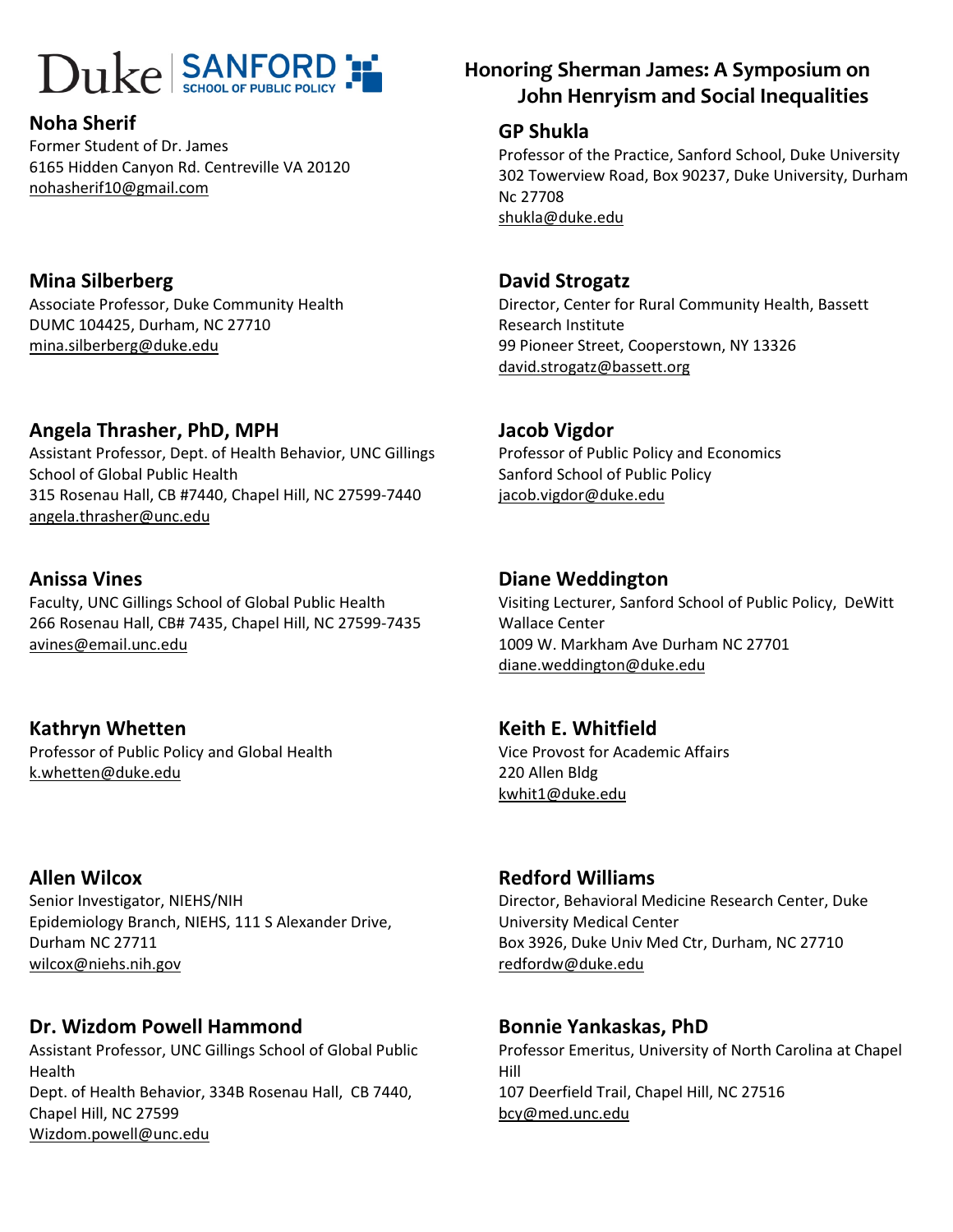# $\text{Dukel SANFORD}$   $\blacksquare$  Honoring Sherman James: A Symposium on

#### Noha Sherif

Former Student of Dr. James 6165 Hidden Canyon Rd. Centreville VA 20120 nohasherif10@gmail.com

#### Mina Silberberg Associate Professor, Duke Community Health DUMC 104425, Durham, NC 27710 mina.silberberg@duke.edu

#### Angela Thrasher, PhD, MPH

Assistant Professor, Dept. of Health Behavior, UNC Gillings School of Global Public Health 315 Rosenau Hall, CB #7440, Chapel Hill, NC 27599-7440 angela.thrasher@unc.edu

#### Anissa Vines

Faculty, UNC Gillings School of Global Public Health 266 Rosenau Hall, CB# 7435, Chapel Hill, NC 27599-7435 avines@email.unc.edu

#### Kathryn Whetten Professor of Public Policy and Global Health k.whetten@duke.edu

Allen Wilcox Senior Investigator, NIEHS/NIH Epidemiology Branch, NIEHS, 111 S Alexander Drive, Durham NC 27711 wilcox@niehs.nih.gov

#### Dr. Wizdom Powell Hammond

Assistant Professor, UNC Gillings School of Global Public Health Dept. of Health Behavior, 334B Rosenau Hall, CB 7440, Chapel Hill, NC 27599 Wizdom.powell@unc.edu

# John Henryism and Social Inequalities

#### GP Shukla

Professor of the Practice, Sanford School, Duke University 302 Towerview Road, Box 90237, Duke University, Durham Nc 27708 shukla@duke.edu

#### David Strogatz

Director, Center for Rural Community Health, Bassett Research Institute 99 Pioneer Street, Cooperstown, NY 13326 david.strogatz@bassett.org

#### Jacob Vigdor

Professor of Public Policy and Economics Sanford School of Public Policy jacob.vigdor@duke.edu

#### Diane Weddington

Visiting Lecturer, Sanford School of Public Policy, DeWitt Wallace Center 1009 W. Markham Ave Durham NC 27701 diane.weddington@duke.edu

#### Keith E. Whitfield

Vice Provost for Academic Affairs 220 Allen Bldg kwhit1@duke.edu

#### Redford Williams

Director, Behavioral Medicine Research Center, Duke University Medical Center Box 3926, Duke Univ Med Ctr, Durham, NC 27710 redfordw@duke.edu

#### Bonnie Yankaskas, PhD

Professor Emeritus, University of North Carolina at Chapel Hill 107 Deerfield Trail, Chapel Hill, NC 27516 bcy@med.unc.edu